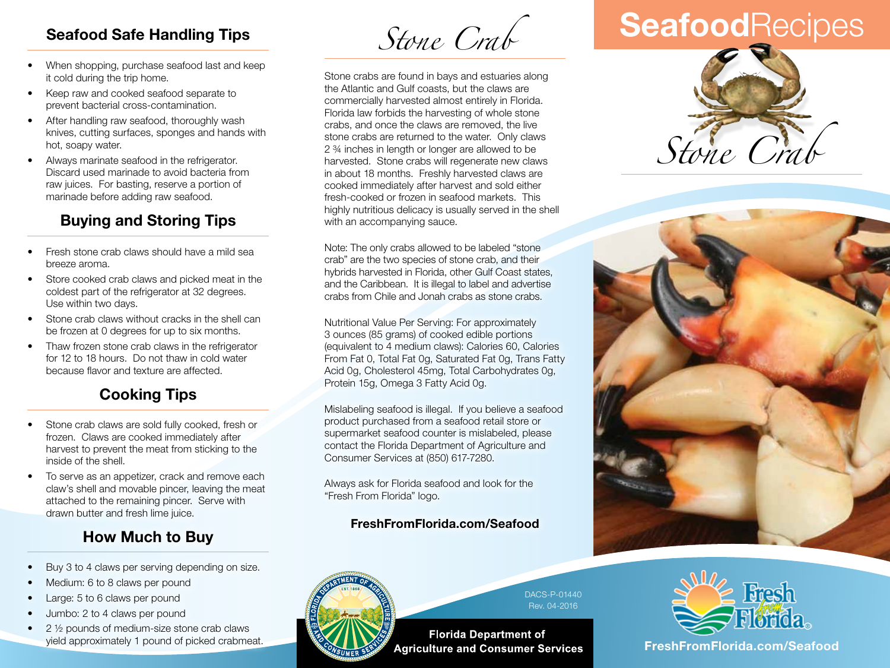### **Seafood Safe Handling Tips**

- When shopping, purchase seafood last and keep it cold during the trip home.
- Keep raw and cooked seafood separate to prevent bacterial cross-contamination.
- After handling raw seafood, thoroughly wash knives, cutting surfaces, sponges and hands with hot, soapy water.
- Always marinate seafood in the refrigerator. Discard used marinade to avoid bacteria from raw juices. For basting, reserve a portion of marinade before adding raw seafood.

### **Buying and Storing Tips**

- Fresh stone crab claws should have a mild sea breeze aroma.
- Store cooked crab claws and picked meat in the coldest part of the refrigerator at 32 degrees. Use within two days.
- Stone crab claws without cracks in the shell can be frozen at 0 degrees for up to six months.
- Thaw frozen stone crab claws in the refrigerator for 12 to 18 hours. Do not thaw in cold water because flavor and texture are affected.

## **Cooking Tips**

- Stone crab claws are sold fully cooked, fresh or frozen. Claws are cooked immediately after harvest to prevent the meat from sticking to the inside of the shell.
- To serve as an appetizer, crack and remove each claw's shell and movable pincer, leaving the meat attached to the remaining pincer. Serve with drawn butter and fresh lime juice.

### **How Much to Buy**

- Buy 3 to 4 claws per serving depending on size.
- Medium: 6 to 8 claws per pound
- Large: 5 to 6 claws per pound
- Jumbo: 2 to 4 claws per pound
- $\bullet$  2  $\frac{1}{2}$  pounds of medium-size stone crab claws yield approximately 1 pound of picked crabmeat.

*Stone Crab*

Stone crabs are found in bays and estuaries along the Atlantic and Gulf coasts, but the claws are commercially harvested almost entirely in Florida. Florida law forbids the harvesting of whole stone crabs, and once the claws are removed, the live stone crabs are returned to the water. Only claws 2 ¾ inches in length or longer are allowed to be harvested. Stone crabs will regenerate new claws in about 18 months. Freshly harvested claws are cooked immediately after harvest and sold either fresh-cooked or frozen in seafood markets. This highly nutritious delicacy is usually served in the shell with an accompanying sauce.

Note: The only crabs allowed to be labeled "stone crab" are the two species of stone crab, and their hybrids harvested in Florida, other Gulf Coast states, and the Caribbean. It is illegal to label and advertise crabs from Chile and Jonah crabs as stone crabs.

Nutritional Value Per Serving: For approximately 3 ounces (85 grams) of cooked edible portions (equivalent to 4 medium claws): Calories 60, Calories From Fat 0, Total Fat 0g, Saturated Fat 0g, Trans Fatty Acid 0g, Cholesterol 45mg, Total Carbohydrates 0g, Protein 15g, Omega 3 Fatty Acid 0g.

Mislabeling seafood is illegal. If you believe a seafood product purchased from a seafood retail store or supermarket seafood counter is mislabeled, please contact the Florida Department of Agriculture and Consumer Services at (850) 617-7280.

Always ask for Florida seafood and look for the "Fresh From Florida" logo.

### **FreshFromFlorida.com/Seafood**



DACS-P-01440 Rev. 04-2016

**Florida Department of Agriculture and Consumer Services** 

# **Seafood**Recipes







**FreshFromFlorida.com FreshFromFlorida.com/Seafood**